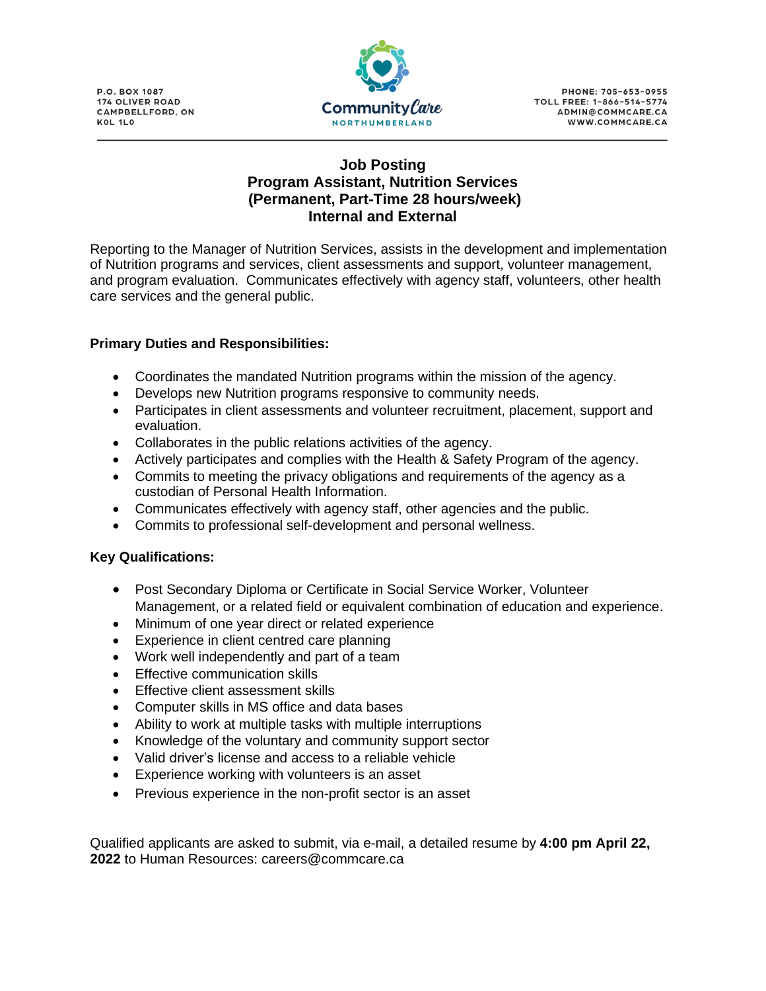**P.O. BOX 1087 174 OLIVER ROAD** CAMPBELLFORD, ON KOL 1LO



## **Job Posting Program Assistant, Nutrition Services (Permanent, Part-Time 28 hours/week) Internal and External**

Reporting to the Manager of Nutrition Services, assists in the development and implementation of Nutrition programs and services, client assessments and support, volunteer management, and program evaluation. Communicates effectively with agency staff, volunteers, other health care services and the general public.

## **Primary Duties and Responsibilities:**

- Coordinates the mandated Nutrition programs within the mission of the agency.
- Develops new Nutrition programs responsive to community needs.
- Participates in client assessments and volunteer recruitment, placement, support and evaluation.
- Collaborates in the public relations activities of the agency.
- Actively participates and complies with the Health & Safety Program of the agency.
- Commits to meeting the privacy obligations and requirements of the agency as a custodian of Personal Health Information.
- Communicates effectively with agency staff, other agencies and the public.
- Commits to professional self-development and personal wellness.

## **Key Qualifications:**

- Post Secondary Diploma or Certificate in Social Service Worker, Volunteer Management, or a related field or equivalent combination of education and experience.
- Minimum of one year direct or related experience
- Experience in client centred care planning
- Work well independently and part of a team
- Effective communication skills
- Effective client assessment skills
- Computer skills in MS office and data bases
- Ability to work at multiple tasks with multiple interruptions
- Knowledge of the voluntary and community support sector
- Valid driver's license and access to a reliable vehicle
- Experience working with volunteers is an asset
- Previous experience in the non-profit sector is an asset

Qualified applicants are asked to submit, via e-mail, a detailed resume by **4:00 pm April 22, 2022** to Human Resources: careers@commcare.ca